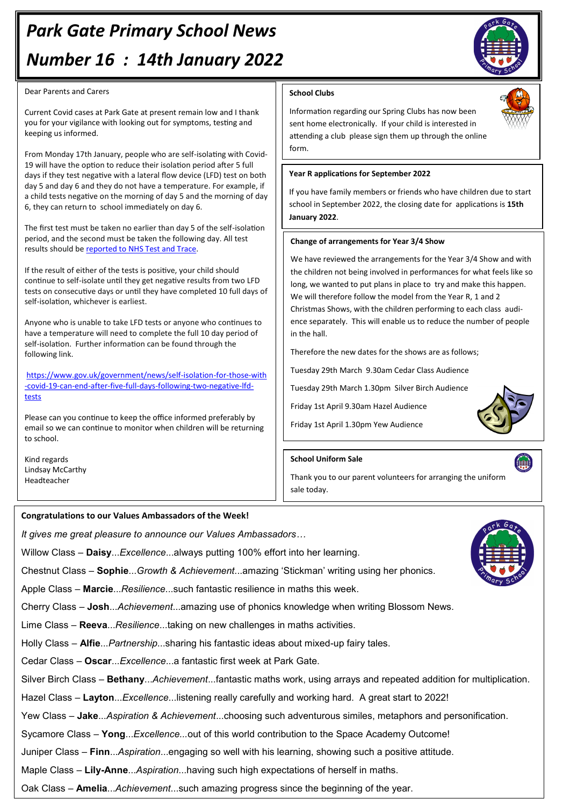# *Park Gate Primary School News Number 16 : 14th January 2022*

#### Dear Parents and Carers

Current Covid cases at Park Gate at present remain low and I thank you for your vigilance with looking out for symptoms, testing and keeping us informed.

From Monday 17th January, people who are self-isolating with Covid-19 will have the option to reduce their isolation period after 5 full days if they test negative with a lateral flow device (LFD) test on both day 5 and day 6 and they do not have a temperature. For example, if a child tests negative on the morning of day 5 and the morning of day 6, they can return to school immediately on day 6.

The first test must be taken no earlier than day 5 of the self-isolation period, and the second must be taken the following day. All test results should be [reported to NHS Test and Trace.](https://www.gov.uk/report-covid19-result?utm_source=14%20January%202022%20C19&utm_medium=Daily%20Email%20C19&utm_campaign=DfE%20C19)

If the result of either of the tests is positive, your child should continue to self-isolate until they get negative results from two LFD tests on consecutive days or until they have completed 10 full days of self-isolation, whichever is earliest.

Anyone who is unable to take LFD tests or anyone who continues to have a temperature will need to complete the full 10 day period of self-isolation. Further information can be found through the following link.

[https://www.gov.uk/government/news/self](https://www.gov.uk/government/news/self-isolation-for-those-with-covid-19-can-end-after-five-full-days-following-two-negative-lfd-tests)-isolation-for-those-with -covid-19-can-end-after-five-full-days-[following](https://www.gov.uk/government/news/self-isolation-for-those-with-covid-19-can-end-after-five-full-days-following-two-negative-lfd-tests)-two-negative-lfd[tests](https://www.gov.uk/government/news/self-isolation-for-those-with-covid-19-can-end-after-five-full-days-following-two-negative-lfd-tests)

Please can you continue to keep the office informed preferably by email so we can continue to monitor when children will be returning to school.

Kind regards Lindsay McCarthy Headteacher

## **School Clubs**

Information regarding our Spring Clubs has now been sent home electronically. If your child is interested in attending a club please sign them up through the online form.

### **Year R applications for September 2022**

If you have family members or friends who have children due to start school in September 2022, the closing date for applications is **15th January 2022**.

### **Change of arrangements for Year 3/4 Show**

We have reviewed the arrangements for the Year 3/4 Show and with the children not being involved in performances for what feels like so long, we wanted to put plans in place to try and make this happen. We will therefore follow the model from the Year R, 1 and 2 Christmas Shows, with the children performing to each class audience separately. This will enable us to reduce the number of people in the hall.

Therefore the new dates for the shows are as follows;

Tuesday 29th March 9.30am Cedar Class Audience

Tuesday 29th March 1.30pm Silver Birch Audience

Friday 1st April 9.30am Hazel Audience

Friday 1st April 1.30pm Yew Audience

### **School Uniform Sale**

Thank you to our parent volunteers for arranging the uniform sale today.

### **Congratulations to our Values Ambassadors of the Week!**

*It gives me great pleasure to announce our Values Ambassadors…*

Willow Class – **Daisy**...*Excellence*...always putting 100% effort into her learning.

Chestnut Class – **Sophie**...*Growth & Achievement*...amazing 'Stickman' writing using her phonics.

Apple Class – **Marcie**...*Resilience*...such fantastic resilience in maths this week.

Cherry Class – **Josh**...*Achievement*...amazing use of phonics knowledge when writing Blossom News.

Lime Class – **Reeva**...*Resilience*...taking on new challenges in maths activities.

Holly Class – **Alfie**...*Partnership*...sharing his fantastic ideas about mixed-up fairy tales.

Cedar Class – **Oscar**...*Excellence*...a fantastic first week at Park Gate.

Silver Birch Class – **Bethany**...*Achievement*...fantastic maths work, using arrays and repeated addition for multiplication.

Hazel Class *–* **Layton**...*Excellence*...listening really carefully and working hard. A great start to 2022!

Yew Class – **Jake**...*Aspiration & Achievement*...choosing such adventurous similes, metaphors and personification.

Sycamore Class – **Yong**...*Excellence...*out of this world contribution to the Space Academy Outcome!

Juniper Class – **Finn**...*Aspiration*...engaging so well with his learning, showing such a positive attitude.

Maple Class – **Lily-Anne**...*Aspiration*...having such high expectations of herself in maths.

Oak Class – **Amelia**...*Achievement*...such amazing progress since the beginning of the year.







0

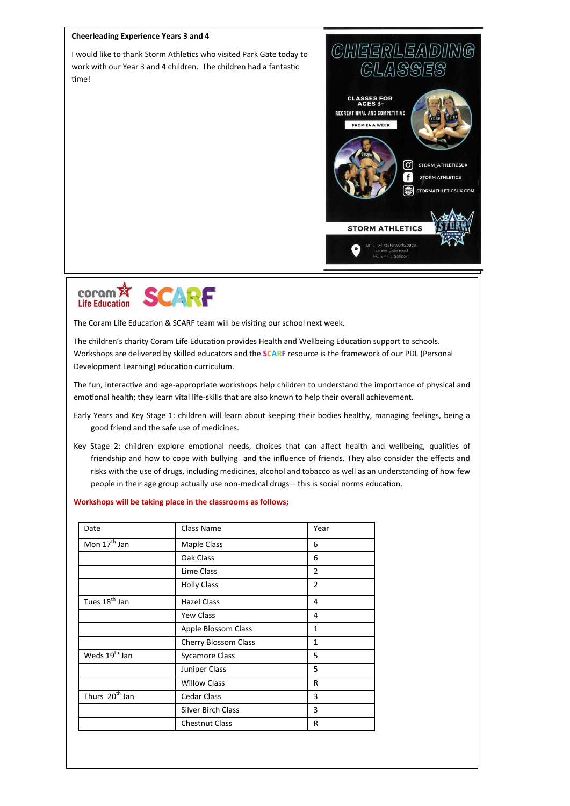#### **Cheerleading Experience Years 3 and 4**

I would like to thank Storm Athletics who visited Park Gate today to work with our Year 3 and 4 children. The children had a fantastic time!





The Coram Life Education & SCARF team will be visiting our school next week.

The children's charity Coram Life Education provides Health and Wellbeing Education support to schools. Workshops are delivered by skilled educators and the **SCARF** resource is the framework of our PDL (Personal Development Learning) education curriculum.

The fun, interactive and age-appropriate workshops help children to understand the importance of physical and emotional health; they learn vital life-skills that are also known to help their overall achievement.

- Early Years and Key Stage 1: children will learn about keeping their bodies healthy, managing feelings, being a good friend and the safe use of medicines.
- Key Stage 2: children explore emotional needs, choices that can affect health and wellbeing, qualities of friendship and how to cope with bullying and the influence of friends. They also consider the effects and risks with the use of drugs, including medicines, alcohol and tobacco as well as an understanding of how few people in their age group actually use non-medical drugs – this is social norms education.

#### **Workshops will be taking place in the classrooms as follows;**

| Date                       | Class Name                | Year           |
|----------------------------|---------------------------|----------------|
| Mon 17 <sup>th</sup> Jan   | Maple Class               | 6              |
|                            | Oak Class                 | 6              |
|                            | Lime Class                | $\overline{2}$ |
|                            | <b>Holly Class</b>        | $\overline{2}$ |
| Tues 18 <sup>th</sup> Jan  | <b>Hazel Class</b>        | 4              |
|                            | <b>Yew Class</b>          | 4              |
|                            | Apple Blossom Class       | $\mathbf{1}$   |
|                            | Cherry Blossom Class      | 1              |
| Weds 19 <sup>th</sup> Jan  | <b>Sycamore Class</b>     | 5              |
|                            | Juniper Class             | 5              |
|                            | <b>Willow Class</b>       | R              |
| Thurs 20 <sup>th</sup> Jan | Cedar Class               | 3              |
|                            | <b>Silver Birch Class</b> | 3              |
|                            | <b>Chestnut Class</b>     | R              |